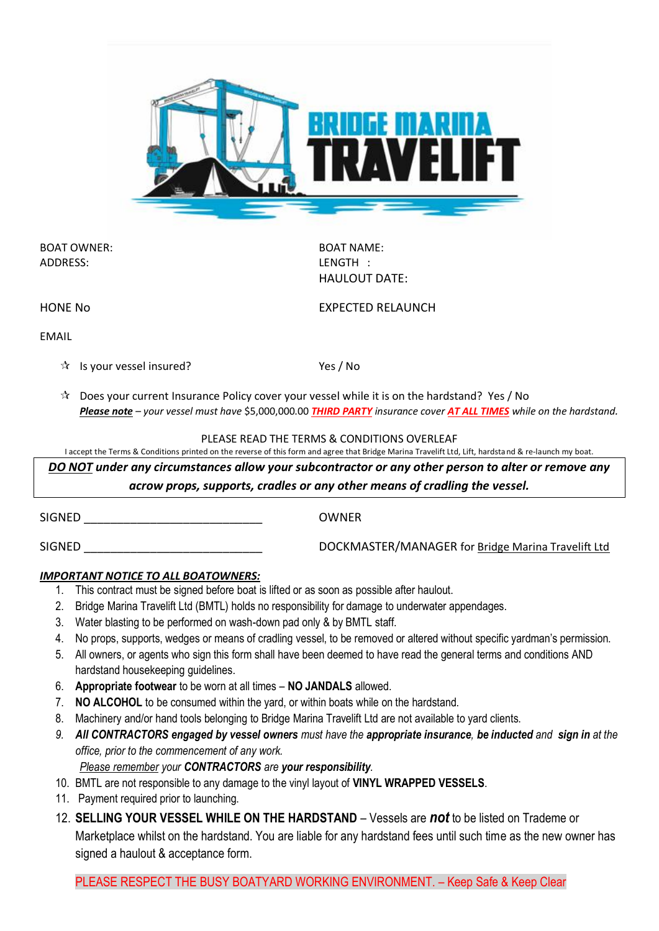

BOAT OWNER: BOAT NAME: ADDRESS: LENGTH :

HAULOUT DATE:

HONE No **EXPECTED RELAUNCH** 

EMAIL

 $\hat{X}$  Is your vessel insured? Yes / No

 $\mathcal{R}$  Does your current Insurance Policy cover your vessel while it is on the hardstand? Yes / No *Please note – your vessel must have* \$5,000,000.00 *THIRD PARTY insurance cover AT ALL TIMES while on the hardstand.*

PLEASE READ THE TERMS & CONDITIONS OVERLEAF

I accept the Terms & Conditions printed on the reverse of this form and agree that Bridge Marina Travelift Ltd, Lift, hardstand & re-launch my boat.

*DO NOT under any circumstances allow your subcontractor or any other person to alter or remove any acrow props, supports, cradles or any other means of cradling the vessel.* 

| SIGNED | <b>OWNER</b>                                       |
|--------|----------------------------------------------------|
| SIGNED | DOCKMASTER/MANAGER for Bridge Marina Travelift Ltd |

## *IMPORTANT NOTICE TO ALL BOATOWNERS:*

- 1. This contract must be signed before boat is lifted or as soon as possible after haulout.
- 2. Bridge Marina Travelift Ltd (BMTL) holds no responsibility for damage to underwater appendages.
- 3. Water blasting to be performed on wash-down pad only & by BMTL staff.
- 4. No props, supports, wedges or means of cradling vessel, to be removed or altered without specific yardman's permission.
- 5. All owners, or agents who sign this form shall have been deemed to have read the general terms and conditions AND hardstand housekeeping guidelines.
- 6. **Appropriate footwear** to be worn at all times **NO JANDALS** allowed.
- 7. **NO ALCOHOL** to be consumed within the yard, or within boats while on the hardstand.
- 8. Machinery and/or hand tools belonging to Bridge Marina Travelift Ltd are not available to yard clients.
- *9. All CONTRACTORS engaged by vessel owners must have the appropriate insurance, be inducted and sign in at the office, prior to the commencement of any work.*

*Please remember your CONTRACTORS are your responsibility.*

- 10. BMTL are not responsible to any damage to the vinyl layout of **VINYL WRAPPED VESSELS**.
- 11. Payment required prior to launching.
- 12. **SELLING YOUR VESSEL WHILE ON THE HARDSTAND** Vessels are *not* to be listed on Trademe or Marketplace whilst on the hardstand. You are liable for any hardstand fees until such time as the new owner has signed a haulout & acceptance form.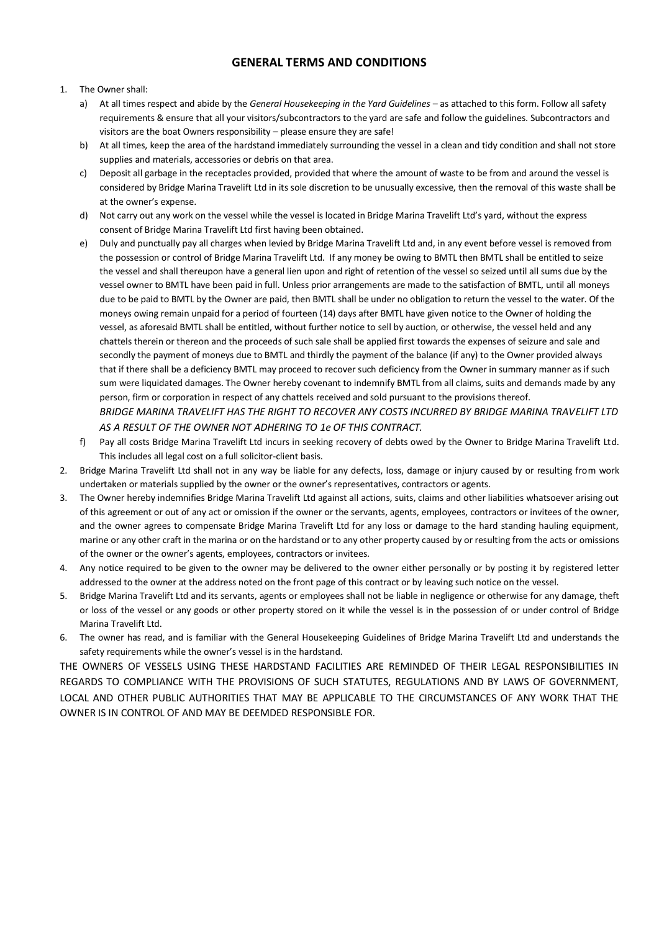## **GENERAL TERMS AND CONDITIONS**

#### 1. The Owner shall:

- a) At all times respect and abide by the *General Housekeeping in the Yard Guidelines* as attached to this form. Follow all safety requirements & ensure that all your visitors/subcontractors to the yard are safe and follow the guidelines. Subcontractors and visitors are the boat Owners responsibility – please ensure they are safe!
- b) At all times, keep the area of the hardstand immediately surrounding the vessel in a clean and tidy condition and shall not store supplies and materials, accessories or debris on that area.
- c) Deposit all garbage in the receptacles provided, provided that where the amount of waste to be from and around the vessel is considered by Bridge Marina Travelift Ltd in its sole discretion to be unusually excessive, then the removal of this waste shall be at the owner's expense.
- d) Not carry out any work on the vessel while the vessel is located in Bridge Marina Travelift Ltd's yard, without the express consent of Bridge Marina Travelift Ltd first having been obtained.
- e) Duly and punctually pay all charges when levied by Bridge Marina Travelift Ltd and, in any event before vessel is removed from the possession or control of Bridge Marina Travelift Ltd. If any money be owing to BMTL then BMTL shall be entitled to seize the vessel and shall thereupon have a general lien upon and right of retention of the vessel so seized until all sums due by the vessel owner to BMTL have been paid in full. Unless prior arrangements are made to the satisfaction of BMTL, until all moneys due to be paid to BMTL by the Owner are paid, then BMTL shall be under no obligation to return the vessel to the water. Of the moneys owing remain unpaid for a period of fourteen (14) days after BMTL have given notice to the Owner of holding the vessel, as aforesaid BMTL shall be entitled, without further notice to sell by auction, or otherwise, the vessel held and any chattels therein or thereon and the proceeds of such sale shall be applied first towards the expenses of seizure and sale and secondly the payment of moneys due to BMTL and thirdly the payment of the balance (if any) to the Owner provided always that if there shall be a deficiency BMTL may proceed to recover such deficiency from the Owner in summary manner as if such sum were liquidated damages. The Owner hereby covenant to indemnify BMTL from all claims, suits and demands made by any person, firm or corporation in respect of any chattels received and sold pursuant to the provisions thereof.

*BRIDGE MARINA TRAVELIFT HAS THE RIGHT TO RECOVER ANY COSTS INCURRED BY BRIDGE MARINA TRAVELIFT LTD AS A RESULT OF THE OWNER NOT ADHERING TO 1e OF THIS CONTRACT.*

- f) Pay all costs Bridge Marina Travelift Ltd incurs in seeking recovery of debts owed by the Owner to Bridge Marina Travelift Ltd. This includes all legal cost on a full solicitor-client basis.
- 2. Bridge Marina Travelift Ltd shall not in any way be liable for any defects, loss, damage or injury caused by or resulting from work undertaken or materials supplied by the owner or the owner's representatives, contractors or agents.
- 3. The Owner hereby indemnifies Bridge Marina Travelift Ltd against all actions, suits, claims and other liabilities whatsoever arising out of this agreement or out of any act or omission if the owner or the servants, agents, employees, contractors or invitees of the owner, and the owner agrees to compensate Bridge Marina Travelift Ltd for any loss or damage to the hard standing hauling equipment, marine or any other craft in the marina or on the hardstand or to any other property caused by or resulting from the acts or omissions of the owner or the owner's agents, employees, contractors or invitees.
- 4. Any notice required to be given to the owner may be delivered to the owner either personally or by posting it by registered letter addressed to the owner at the address noted on the front page of this contract or by leaving such notice on the vessel.
- 5. Bridge Marina Travelift Ltd and its servants, agents or employees shall not be liable in negligence or otherwise for any damage, theft or loss of the vessel or any goods or other property stored on it while the vessel is in the possession of or under control of Bridge Marina Travelift Ltd.
- 6. The owner has read, and is familiar with the General Housekeeping Guidelines of Bridge Marina Travelift Ltd and understands the safety requirements while the owner's vessel is in the hardstand.

THE OWNERS OF VESSELS USING THESE HARDSTAND FACILITIES ARE REMINDED OF THEIR LEGAL RESPONSIBILITIES IN REGARDS TO COMPLIANCE WITH THE PROVISIONS OF SUCH STATUTES, REGULATIONS AND BY LAWS OF GOVERNMENT, LOCAL AND OTHER PUBLIC AUTHORITIES THAT MAY BE APPLICABLE TO THE CIRCUMSTANCES OF ANY WORK THAT THE OWNER IS IN CONTROL OF AND MAY BE DEEMDED RESPONSIBLE FOR.